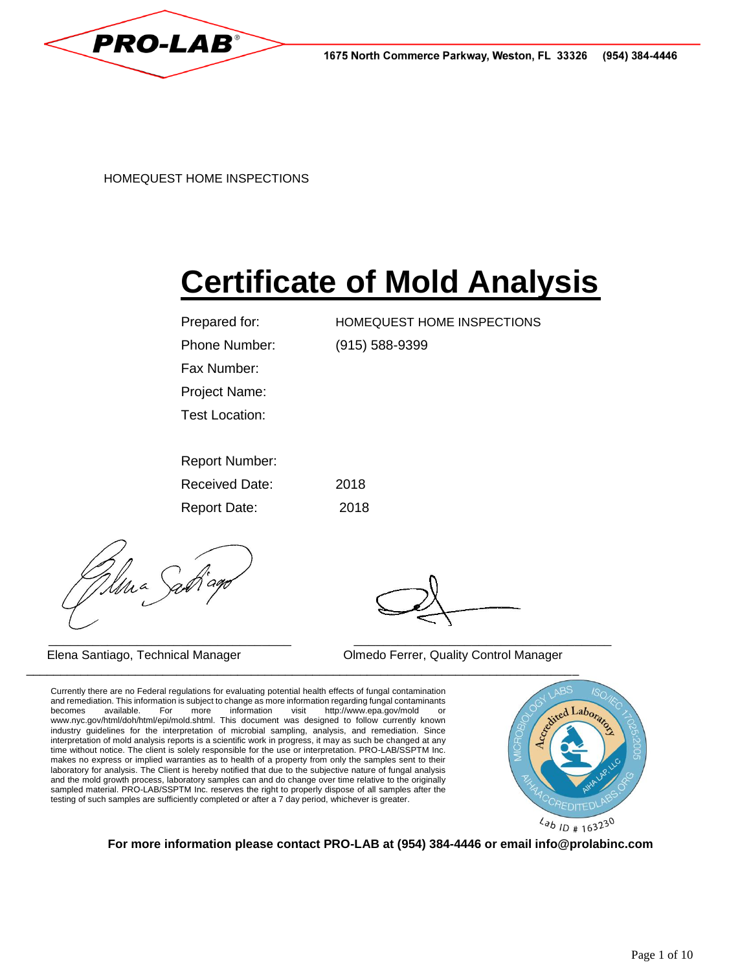

HOMEQUEST HOME INSPECTIONS www.homequesthomeinspections.com 915-588-9399

# **Certificate of Mold Analysis**

| Prepared for:         | HOMEQUEST HOME INSPECTIONS |
|-----------------------|----------------------------|
| Phone Number:         | $(915) 588 - 9399$         |
| Fax Number:           |                            |
| <b>Project Name:</b>  |                            |
| Test Location:        | Las Cruces 88011           |
|                       |                            |
| <b>Report Number:</b> | XXXXXXX                    |
| <b>Received Date:</b> | 2018                       |
| <b>Report Date:</b>   | 2018                       |
|                       |                            |

Una Sat

\_\_\_\_\_\_\_\_\_\_\_\_\_\_\_\_\_\_\_\_\_\_\_\_\_\_\_\_\_\_\_\_\_ \_\_\_\_\_\_\_\_\_\_\_\_\_\_\_\_\_\_\_\_\_\_\_\_\_\_\_\_\_\_\_\_\_\_\_ Elena Santiago, Technical Manager **Olmedo Ferrer, Quality Control Manager** 

Currently there are no Federal regulations for evaluating potential health effects of fungal contamination and remediation. This information is subject to change as more information regarding fungal contaminants becomes available. For more information visit http://www.epa.gov/mold or www.nyc.gov/html/doh/html/epi/mold.shtml. This document was designed to follow currently known industry guidelines for the interpretation of microbial sampling, analysis, and remediation. Since interpretation of mold analysis reports is a scientific work in progress, it may as such be changed at any time without notice. The client is solely responsible for the use or interpretation. PRO-LAB/SSPTM Inc. makes no express or implied warranties as to health of a property from only the samples sent to their laboratory for analysis. The Client is hereby notified that due to the subjective nature of fungal analysis and the mold growth process, laboratory samples can and do change over time relative to the originally sampled material. PRO-LAB/SSPTM Inc. reserves the right to properly dispose of all samples after the testing of such samples are sufficiently completed or after a 7 day period, whichever is greater.



**For more information please contact PRO-LAB at (954) 384-4446 or email info@prolabinc.com**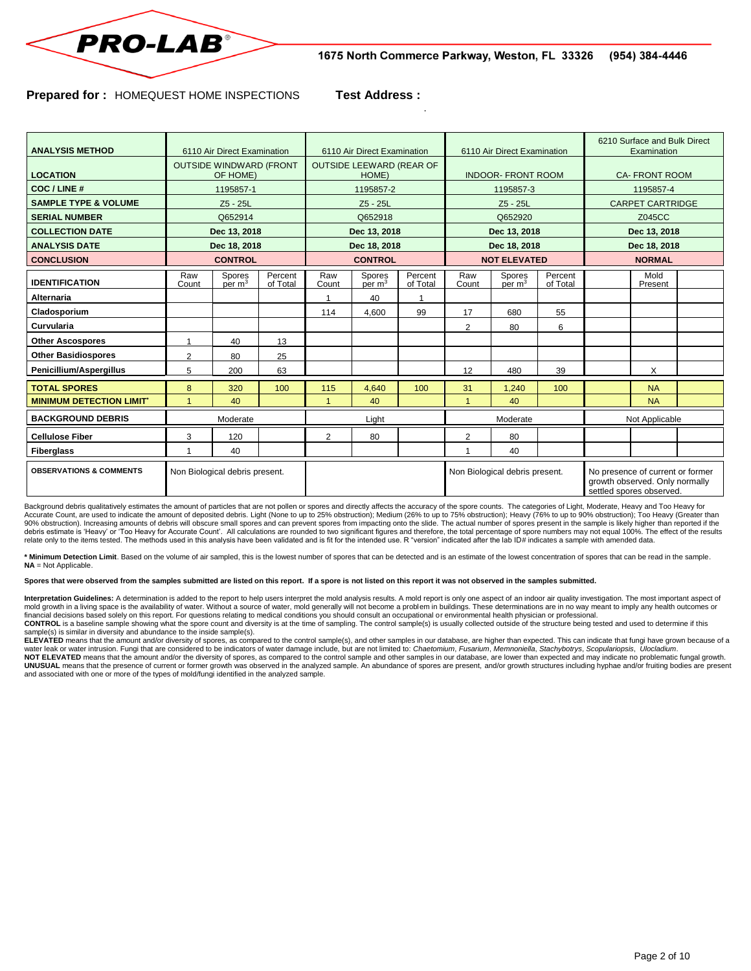

#### **Prepared for :** HOMEQUEST HOME INSPECTIONS **Test Address :**

.

| <b>ANALYSIS METHOD</b>             | 6110 Air Direct Examination                |                              | 6110 Air Direct Examination              |              |                              | 6110 Air Direct Examination    |              |                    | 6210 Surface and Bulk Direct<br>Examination                                                    |                         |                 |  |
|------------------------------------|--------------------------------------------|------------------------------|------------------------------------------|--------------|------------------------------|--------------------------------|--------------|--------------------|------------------------------------------------------------------------------------------------|-------------------------|-----------------|--|
| <b>LOCATION</b>                    | <b>OUTSIDE WINDWARD (FRONT</b><br>OF HOME) |                              | <b>OUTSIDE LEEWARD (REAR OF</b><br>HOME) |              |                              | <b>INDOOR- FRONT ROOM</b>      |              |                    | <b>CA-FRONT ROOM</b>                                                                           |                         |                 |  |
| COC / LINE #                       |                                            | 1195857-1                    |                                          | 1195857-2    |                              |                                | 1195857-3    |                    |                                                                                                | 1195857-4               |                 |  |
| <b>SAMPLE TYPE &amp; VOLUME</b>    |                                            | $Z5 - 25L$                   |                                          | $Z5 - 25L$   |                              |                                | Z5 - 25L     |                    |                                                                                                | <b>CARPET CARTRIDGE</b> |                 |  |
| <b>SERIAL NUMBER</b>               |                                            | Q652914                      |                                          | Q652918      |                              |                                | Q652920      |                    |                                                                                                | Z045CC                  |                 |  |
| <b>COLLECTION DATE</b>             | Dec 13, 2018                               |                              | Dec 13, 2018                             |              |                              | Dec 13, 2018                   |              |                    | Dec 13, 2018                                                                                   |                         |                 |  |
| <b>ANALYSIS DATE</b>               | Dec 18, 2018                               |                              | Dec 18, 2018                             |              |                              | Dec 18, 2018                   |              |                    | Dec 18, 2018                                                                                   |                         |                 |  |
| <b>CONCLUSION</b>                  | <b>CONTROL</b>                             |                              | <b>CONTROL</b>                           |              |                              | <b>NOT ELEVATED</b>            |              |                    | <b>NORMAL</b>                                                                                  |                         |                 |  |
| <b>IDENTIFICATION</b>              | Raw<br>Count                               | Spores<br>per m <sup>3</sup> | Percent<br>of Total                      | Raw<br>Count | Spores<br>per m <sup>3</sup> | Percent<br>of Total            | Raw<br>Count | Spores<br>per $m3$ | Percent<br>of Total                                                                            |                         | Mold<br>Present |  |
| <b>Alternaria</b>                  |                                            |                              |                                          |              | 40                           | 1                              |              |                    |                                                                                                |                         |                 |  |
| Cladosporium                       |                                            |                              |                                          | 114          | 4.600                        | 99                             | 17           | 680                | 55                                                                                             |                         |                 |  |
| Curvularia                         |                                            |                              |                                          |              |                              |                                | 2            | 80                 | 6                                                                                              |                         |                 |  |
| <b>Other Ascospores</b>            | 1                                          | 40                           | 13                                       |              |                              |                                |              |                    |                                                                                                |                         |                 |  |
| <b>Other Basidiospores</b>         | $\overline{2}$                             | 80                           | 25                                       |              |                              |                                |              |                    |                                                                                                |                         |                 |  |
| Penicillium/Aspergillus            | 5                                          | 200                          | 63                                       |              |                              |                                | 12           | 480                | 39                                                                                             |                         | X               |  |
| <b>TOTAL SPORES</b>                | 8                                          | 320                          | 100                                      | 115          | 4.640                        | 100                            | 31           | 1.240              | 100                                                                                            |                         | <b>NA</b>       |  |
| <b>MINIMUM DETECTION LIMIT'</b>    |                                            | 40                           |                                          |              | 40                           |                                |              | 40                 |                                                                                                |                         | <b>NA</b>       |  |
| <b>BACKGROUND DEBRIS</b>           | Moderate                                   |                              | Light                                    |              |                              | Moderate                       |              |                    | Not Applicable                                                                                 |                         |                 |  |
| <b>Cellulose Fiber</b>             | 3                                          | 120                          |                                          | 2            | 80                           |                                | 2            | 80                 |                                                                                                |                         |                 |  |
| <b>Fiberglass</b>                  |                                            | 40                           |                                          |              |                              |                                |              | 40                 |                                                                                                |                         |                 |  |
| <b>OBSERVATIONS &amp; COMMENTS</b> | Non Biological debris present.             |                              |                                          |              |                              | Non Biological debris present. |              |                    | No presence of current or former<br>growth observed. Only normally<br>settled spores observed. |                         |                 |  |

Background debris qualitatively estimates the amount of particles that are not pollen or spores and directly affects the accuracy of the spore counts. The categories of Light, Moderate, Heavy and Too Heavy for<br>Accurate Cou relate only to the items tested. The methods used in this analysis have been validated and is fit for the intended use. R "version" indicated after the lab ID# indicates a sample with amended data.

**\* Minimum Detection Limit**. Based on the volume of air sampled, this is the lowest number of spores that can be detected and is an estimate of the lowest concentration of spores that can be read in the sample. **NA** = Not Applicable.

#### Spores that were observed from the samples submitted are listed on this report. If a spore is not listed on this report it was not observed in the samples submitted.

Interpretation Guidelines: A determination is added to the report to help users interpret the mold analysis results. A mold report is only one aspect of an indoor air quality investigation. The most important aspect of mold growth in a living space is the availability of water. Without a source of water, mold generally will not become a problem in buildings. These determinations are in no way meant to imply any health outcomes or<br>financi CONTROL is a baseline sample showing what the spore count and diversity is at the time of sampling. The control sample(s) is usually collected outside of the structure being tested and used to determine if this<br>sample(s) i

ELEVATED means that the amount and/or diversity of spores, as compared to the control sample(s), and other samples in our database, are higher than expected. This can indicate that fungi have grown because of a

water leak or water intrusion. Fungi that are considered to be indicators of water damage include, but are not limited to: *Chaetomium, Fusarium, Memnoniella, Stachybotrys, Scopulariopsis, Ulocladium.*<br>NOT ELEVATED means t UNUSUAL means that the presence of current or former growth was observed in the analyzed sample. An abundance of spores are present, and/or growth structures including hyphae and/or fruiting bodies are present<br>and associat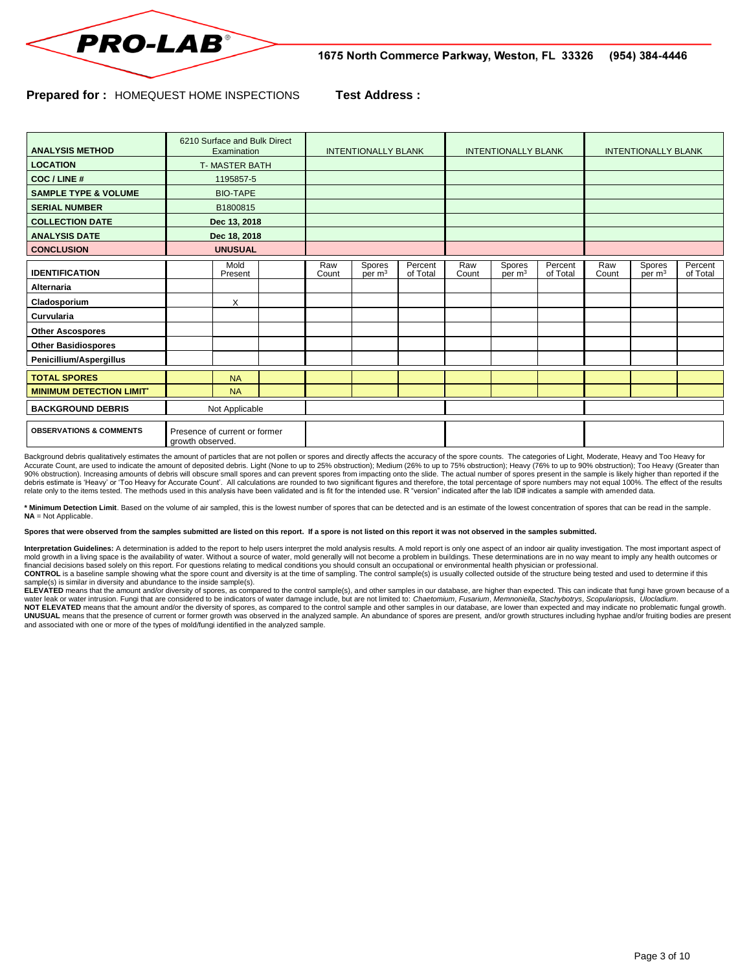

#### **Prepared for :** HOMEQUEST HOME INSPECTIONS **Test Address :**

| <b>ANALYSIS METHOD</b>             | 6210 Surface and Bulk Direct<br>Examination       |                 | <b>INTENTIONALLY BLANK</b> |              |                              | <b>INTENTIONALLY BLANK</b> |              |                              | <b>INTENTIONALLY BLANK</b> |              |                              |                     |
|------------------------------------|---------------------------------------------------|-----------------|----------------------------|--------------|------------------------------|----------------------------|--------------|------------------------------|----------------------------|--------------|------------------------------|---------------------|
| <b>LOCATION</b>                    | <b>T-MASTER BATH</b>                              |                 |                            |              |                              |                            |              |                              |                            |              |                              |                     |
| COC / LINE #                       |                                                   | 1195857-5       |                            |              |                              |                            |              |                              |                            |              |                              |                     |
| <b>SAMPLE TYPE &amp; VOLUME</b>    |                                                   | <b>BIO-TAPE</b> |                            |              |                              |                            |              |                              |                            |              |                              |                     |
| <b>SERIAL NUMBER</b>               | B1800815                                          |                 |                            |              |                              |                            |              |                              |                            |              |                              |                     |
| <b>COLLECTION DATE</b>             | Dec 13, 2018                                      |                 |                            |              |                              |                            |              |                              |                            |              |                              |                     |
| <b>ANALYSIS DATE</b>               | Dec 18, 2018                                      |                 |                            |              |                              |                            |              |                              |                            |              |                              |                     |
| <b>CONCLUSION</b>                  | <b>UNUSUAL</b>                                    |                 |                            |              |                              |                            |              |                              |                            |              |                              |                     |
| <b>IDENTIFICATION</b>              |                                                   | Mold<br>Present |                            | Raw<br>Count | Spores<br>per m <sup>3</sup> | Percent<br>of Total        | Raw<br>Count | Spores<br>per m <sup>3</sup> | Percent<br>of Total        | Raw<br>Count | Spores<br>per m <sup>3</sup> | Percent<br>of Total |
| <b>Alternaria</b>                  |                                                   |                 |                            |              |                              |                            |              |                              |                            |              |                              |                     |
| Cladosporium                       |                                                   | X               |                            |              |                              |                            |              |                              |                            |              |                              |                     |
| Curvularia                         |                                                   |                 |                            |              |                              |                            |              |                              |                            |              |                              |                     |
| <b>Other Ascospores</b>            |                                                   |                 |                            |              |                              |                            |              |                              |                            |              |                              |                     |
| <b>Other Basidiospores</b>         |                                                   |                 |                            |              |                              |                            |              |                              |                            |              |                              |                     |
| Penicillium/Aspergillus            |                                                   |                 |                            |              |                              |                            |              |                              |                            |              |                              |                     |
| <b>TOTAL SPORES</b>                |                                                   | <b>NA</b>       |                            |              |                              |                            |              |                              |                            |              |                              |                     |
| <b>MINIMUM DETECTION LIMIT'</b>    |                                                   | <b>NA</b>       |                            |              |                              |                            |              |                              |                            |              |                              |                     |
| <b>BACKGROUND DEBRIS</b>           | Not Applicable                                    |                 |                            |              |                              |                            |              |                              |                            |              |                              |                     |
| <b>OBSERVATIONS &amp; COMMENTS</b> | Presence of current or former<br>growth observed. |                 |                            |              |                              |                            |              |                              |                            |              |                              |                     |

Background debris qualitatively estimates the amount of particles that are not pollen or spores and directly affects the accuracy of the spore counts. The categories of Light, Moderate, Heavy and Too Heavy for Accurate Count, are used to indicate the amount of deposited debris. Light (None to up to 25% obstruction); Medium (26% to up to 75% obstruction); Heavy (76% to up to 90% obstruction); Too Heavy (Greater than<br>90% obstructi relate only to the items tested. The methods used in this analysis have been validated and is fit for the intended use. R "version" indicated after the lab ID# indicates a sample with amended data.

**\* Minimum Detection Limit**. Based on the volume of air sampled, this is the lowest number of spores that can be detected and is an estimate of the lowest concentration of spores that can be read in the sample. **NA** = Not Applicable.

**Spores that were observed from the samples submitted are listed on this report. If a spore is not listed on this report it was not observed in the samples submitted.**

Interpretation Guidelines: A determination is added to the report to help users interpret the mold analysis results. A mold report is only one aspect of an indoor air quality investigation. The most important aspect of mold growth in a living space is the availability of water. Without a source of water, mold generally will not become a problem in buildings. These determinations are in no way meant to imply any health outcomes or financial decisions based solely on this report. For questions relating to medical conditions you should consult an occupational or environmental health physician or professional.<br>CONTROL is a baseline sample showing what

ELEVATED means that the amount and/or diversity of spores, as compared to the control sample(s), and other samples in our database, are higher than expected. This can indicate that fungi have grown because of a water leak or water intrusion. Fungi that are considered to be indicators of water damage include, but are not limited to: Chaetomium, Fusarium, Memnoniella, Stachybotrys, Scopulariopsis, Ulocladium.

**NOT ELEVATED** means that the amount and/or the diversity of spores, as compared to the control sample and other samples in our database, are lower than expected and may indicate no problematic fungal growth. **UNUSUAL** means that the presence of current or former growth was observed in the analyzed sample. An abundance of spores are present, and/or growth structures including hyphae and/or fruiting bodies are present<br>and associ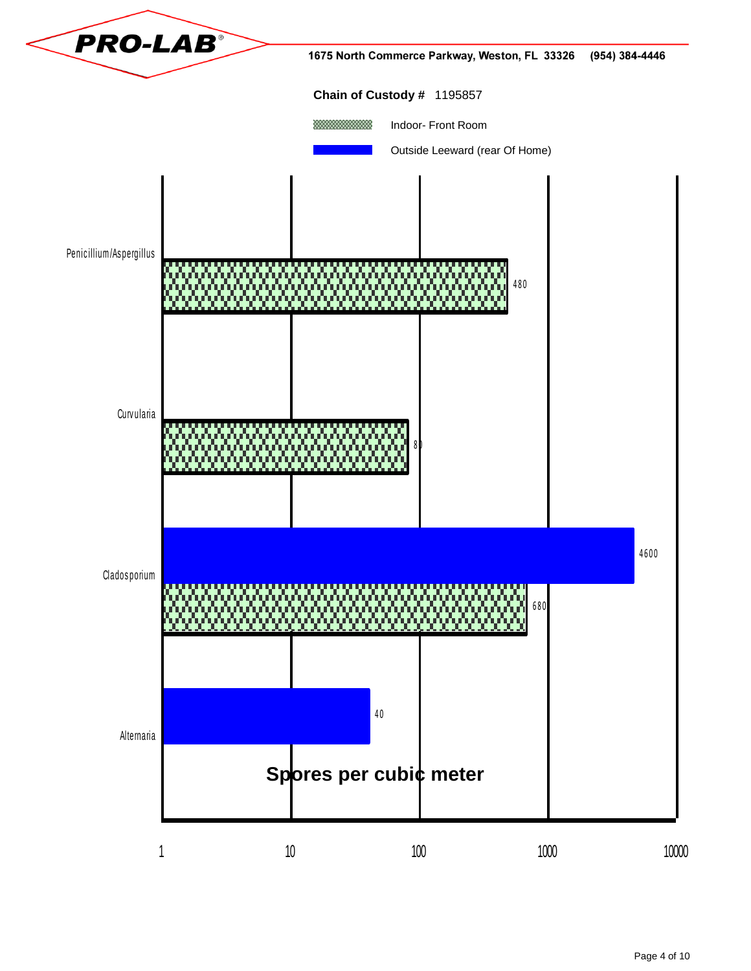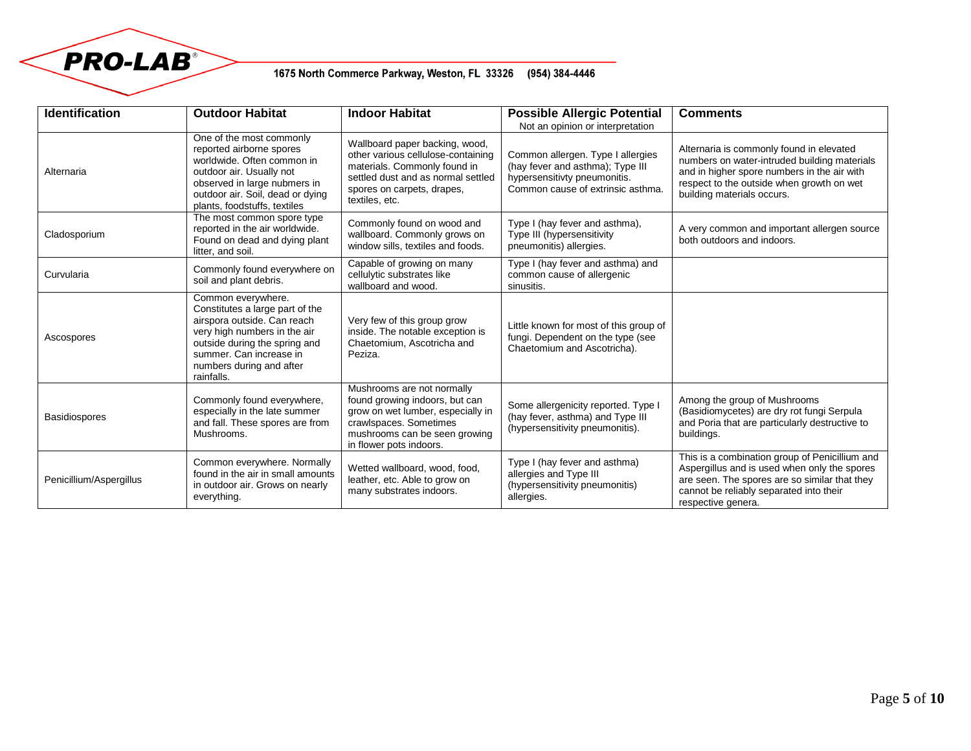

# 1675 North Commerce Parkway, Weston, FL 33326 (954) 384-4446

| <b>Identification</b>   | <b>Outdoor Habitat</b>                                                                                                                                                                                                     | <b>Indoor Habitat</b>                                                                                                                                                                      | <b>Possible Allergic Potential</b><br>Not an opinion or interpretation                                                                     | <b>Comments</b>                                                                                                                                                                                                    |
|-------------------------|----------------------------------------------------------------------------------------------------------------------------------------------------------------------------------------------------------------------------|--------------------------------------------------------------------------------------------------------------------------------------------------------------------------------------------|--------------------------------------------------------------------------------------------------------------------------------------------|--------------------------------------------------------------------------------------------------------------------------------------------------------------------------------------------------------------------|
| Alternaria              | One of the most commonly<br>reported airborne spores<br>worldwide. Often common in<br>outdoor air. Usually not<br>observed in large nubmers in<br>outdoor air. Soil, dead or dying<br>plants, foodstuffs, textiles         | Wallboard paper backing, wood,<br>other various cellulose-containing<br>materials. Commonly found in<br>settled dust and as normal settled<br>spores on carpets, drapes,<br>textiles, etc. | Common allergen. Type I allergies<br>(hay fever and asthma); Type III<br>hypersensitivty pneumonitis.<br>Common cause of extrinsic asthma. | Alternaria is commonly found in elevated<br>numbers on water-intruded building materials<br>and in higher spore numbers in the air with<br>respect to the outside when growth on wet<br>building materials occurs. |
| Cladosporium            | The most common spore type<br>reported in the air worldwide.<br>Found on dead and dying plant<br>litter, and soil.                                                                                                         | Commonly found on wood and<br>wallboard. Commonly grows on<br>window sills, textiles and foods.                                                                                            | Type I (hay fever and asthma),<br>Type III (hypersensitivity<br>pneumonitis) allergies.                                                    | A very common and important allergen source<br>both outdoors and indoors.                                                                                                                                          |
| Curvularia              | Commonly found everywhere on<br>soil and plant debris.                                                                                                                                                                     | Capable of growing on many<br>cellulytic substrates like<br>wallboard and wood.                                                                                                            | Type I (hay fever and asthma) and<br>common cause of allergenic<br>sinusitis.                                                              |                                                                                                                                                                                                                    |
| Ascospores              | Common everywhere.<br>Constitutes a large part of the<br>airspora outside. Can reach<br>very high numbers in the air<br>outside during the spring and<br>summer. Can increase in<br>numbers during and after<br>rainfalls. | Very few of this group grow<br>inside. The notable exception is<br>Chaetomium, Ascotricha and<br>Peziza.                                                                                   | Little known for most of this group of<br>fungi. Dependent on the type (see<br>Chaetomium and Ascotricha).                                 |                                                                                                                                                                                                                    |
| <b>Basidiospores</b>    | Commonly found everywhere,<br>especially in the late summer<br>and fall. These spores are from<br>Mushrooms.                                                                                                               | Mushrooms are not normally<br>found growing indoors, but can<br>grow on wet lumber, especially in<br>crawlspaces. Sometimes<br>mushrooms can be seen growing<br>in flower pots indoors.    | Some allergenicity reported. Type I<br>(hay fever, asthma) and Type III<br>(hypersensitivity pneumonitis).                                 | Among the group of Mushrooms<br>(Basidiomycetes) are dry rot fungi Serpula<br>and Poria that are particularly destructive to<br>buildings.                                                                         |
| Penicillium/Aspergillus | Common everywhere. Normally<br>found in the air in small amounts<br>in outdoor air. Grows on nearly<br>everything.                                                                                                         | Wetted wallboard, wood, food,<br>leather, etc. Able to grow on<br>many substrates indoors.                                                                                                 | Type I (hay fever and asthma)<br>allergies and Type III<br>(hypersensitivity pneumonitis)<br>allergies.                                    | This is a combination group of Penicillium and<br>Aspergillus and is used when only the spores<br>are seen. The spores are so similar that they<br>cannot be reliably separated into their<br>respective genera.   |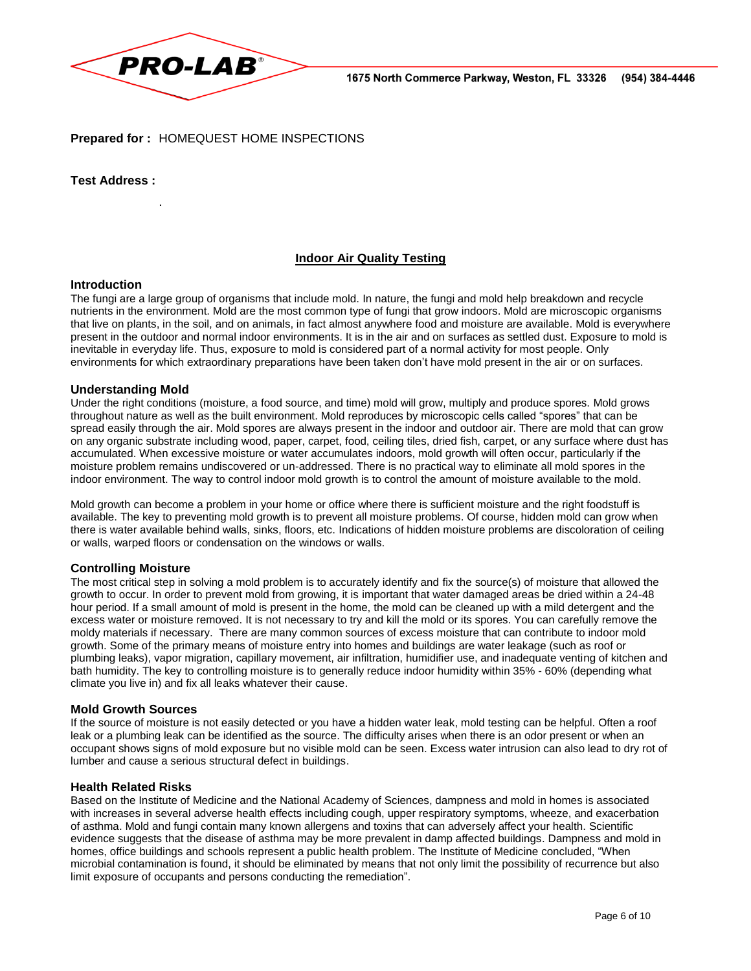

**Prepared for :** HOMEQUEST HOME INSPECTIONS

**Test Address :**

.

### **Indoor Air Quality Testing**

#### **Introduction**

The fungi are a large group of organisms that include mold. In nature, the fungi and mold help breakdown and recycle nutrients in the environment. Mold are the most common type of fungi that grow indoors. Mold are microscopic organisms that live on plants, in the soil, and on animals, in fact almost anywhere food and moisture are available. Mold is everywhere present in the outdoor and normal indoor environments. It is in the air and on surfaces as settled dust. Exposure to mold is inevitable in everyday life. Thus, exposure to mold is considered part of a normal activity for most people. Only environments for which extraordinary preparations have been taken don't have mold present in the air or on surfaces.

#### **Understanding Mold**

Under the right conditions (moisture, a food source, and time) mold will grow, multiply and produce spores. Mold grows throughout nature as well as the built environment. Mold reproduces by microscopic cells called "spores" that can be spread easily through the air. Mold spores are always present in the indoor and outdoor air. There are mold that can grow on any organic substrate including wood, paper, carpet, food, ceiling tiles, dried fish, carpet, or any surface where dust has accumulated. When excessive moisture or water accumulates indoors, mold growth will often occur, particularly if the moisture problem remains undiscovered or un-addressed. There is no practical way to eliminate all mold spores in the indoor environment. The way to control indoor mold growth is to control the amount of moisture available to the mold.

Mold growth can become a problem in your home or office where there is sufficient moisture and the right foodstuff is available. The key to preventing mold growth is to prevent all moisture problems. Of course, hidden mold can grow when there is water available behind walls, sinks, floors, etc. Indications of hidden moisture problems are discoloration of ceiling or walls, warped floors or condensation on the windows or walls.

#### **Controlling Moisture**

The most critical step in solving a mold problem is to accurately identify and fix the source(s) of moisture that allowed the growth to occur. In order to prevent mold from growing, it is important that water damaged areas be dried within a 24-48 hour period. If a small amount of mold is present in the home, the mold can be cleaned up with a mild detergent and the excess water or moisture removed. It is not necessary to try and kill the mold or its spores. You can carefully remove the moldy materials if necessary. There are many common sources of excess moisture that can contribute to indoor mold growth. Some of the primary means of moisture entry into homes and buildings are water leakage (such as roof or plumbing leaks), vapor migration, capillary movement, air infiltration, humidifier use, and inadequate venting of kitchen and bath humidity. The key to controlling moisture is to generally reduce indoor humidity within 35% - 60% (depending what climate you live in) and fix all leaks whatever their cause.

#### **Mold Growth Sources**

If the source of moisture is not easily detected or you have a hidden water leak, mold testing can be helpful. Often a roof leak or a plumbing leak can be identified as the source. The difficulty arises when there is an odor present or when an occupant shows signs of mold exposure but no visible mold can be seen. Excess water intrusion can also lead to dry rot of lumber and cause a serious structural defect in buildings.

#### **Health Related Risks**

Based on the Institute of Medicine and the National Academy of Sciences, dampness and mold in homes is associated with increases in several adverse health effects including cough, upper respiratory symptoms, wheeze, and exacerbation of asthma. Mold and fungi contain many known allergens and toxins that can adversely affect your health. Scientific evidence suggests that the disease of asthma may be more prevalent in damp affected buildings. Dampness and mold in homes, office buildings and schools represent a public health problem. The Institute of Medicine concluded, "When microbial contamination is found, it should be eliminated by means that not only limit the possibility of recurrence but also limit exposure of occupants and persons conducting the remediation".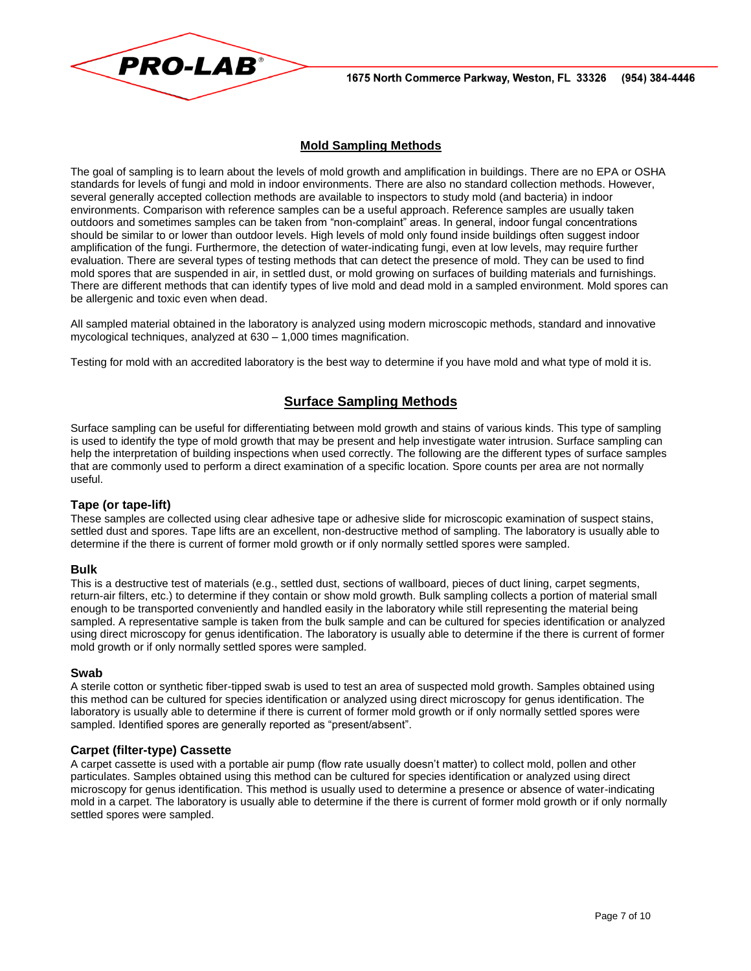

# **Mold Sampling Methods**

The goal of sampling is to learn about the levels of mold growth and amplification in buildings. There are no EPA or OSHA standards for levels of fungi and mold in indoor environments. There are also no standard collection methods. However, several generally accepted collection methods are available to inspectors to study mold (and bacteria) in indoor environments. Comparison with reference samples can be a useful approach. Reference samples are usually taken outdoors and sometimes samples can be taken from "non-complaint" areas. In general, indoor fungal concentrations should be similar to or lower than outdoor levels. High levels of mold only found inside buildings often suggest indoor amplification of the fungi. Furthermore, the detection of water-indicating fungi, even at low levels, may require further evaluation. There are several types of testing methods that can detect the presence of mold. They can be used to find mold spores that are suspended in air, in settled dust, or mold growing on surfaces of building materials and furnishings. There are different methods that can identify types of live mold and dead mold in a sampled environment. Mold spores can be allergenic and toxic even when dead.

All sampled material obtained in the laboratory is analyzed using modern microscopic methods, standard and innovative mycological techniques, analyzed at 630 – 1,000 times magnification.

Testing for mold with an accredited laboratory is the best way to determine if you have mold and what type of mold it is.

# **Surface Sampling Methods**

Surface sampling can be useful for differentiating between mold growth and stains of various kinds. This type of sampling is used to identify the type of mold growth that may be present and help investigate water intrusion. Surface sampling can help the interpretation of building inspections when used correctly. The following are the different types of surface samples that are commonly used to perform a direct examination of a specific location. Spore counts per area are not normally useful.

#### **Tape (or tape-lift)**

These samples are collected using clear adhesive tape or adhesive slide for microscopic examination of suspect stains, settled dust and spores. Tape lifts are an excellent, non-destructive method of sampling. The laboratory is usually able to determine if the there is current of former mold growth or if only normally settled spores were sampled.

#### **Bulk**

This is a destructive test of materials (e.g., settled dust, sections of wallboard, pieces of duct lining, carpet segments, return-air filters, etc.) to determine if they contain or show mold growth. Bulk sampling collects a portion of material small enough to be transported conveniently and handled easily in the laboratory while still representing the material being sampled. A representative sample is taken from the bulk sample and can be cultured for species identification or analyzed using direct microscopy for genus identification. The laboratory is usually able to determine if the there is current of former mold growth or if only normally settled spores were sampled.

#### **Swab**

A sterile cotton or synthetic fiber-tipped swab is used to test an area of suspected mold growth. Samples obtained using this method can be cultured for species identification or analyzed using direct microscopy for genus identification. The laboratory is usually able to determine if there is current of former mold growth or if only normally settled spores were sampled. Identified spores are generally reported as "present/absent".

#### **Carpet (filter-type) Cassette**

A carpet cassette is used with a portable air pump (flow rate usually doesn't matter) to collect mold, pollen and other particulates. Samples obtained using this method can be cultured for species identification or analyzed using direct microscopy for genus identification. This method is usually used to determine a presence or absence of water-indicating mold in a carpet. The laboratory is usually able to determine if the there is current of former mold growth or if only normally settled spores were sampled.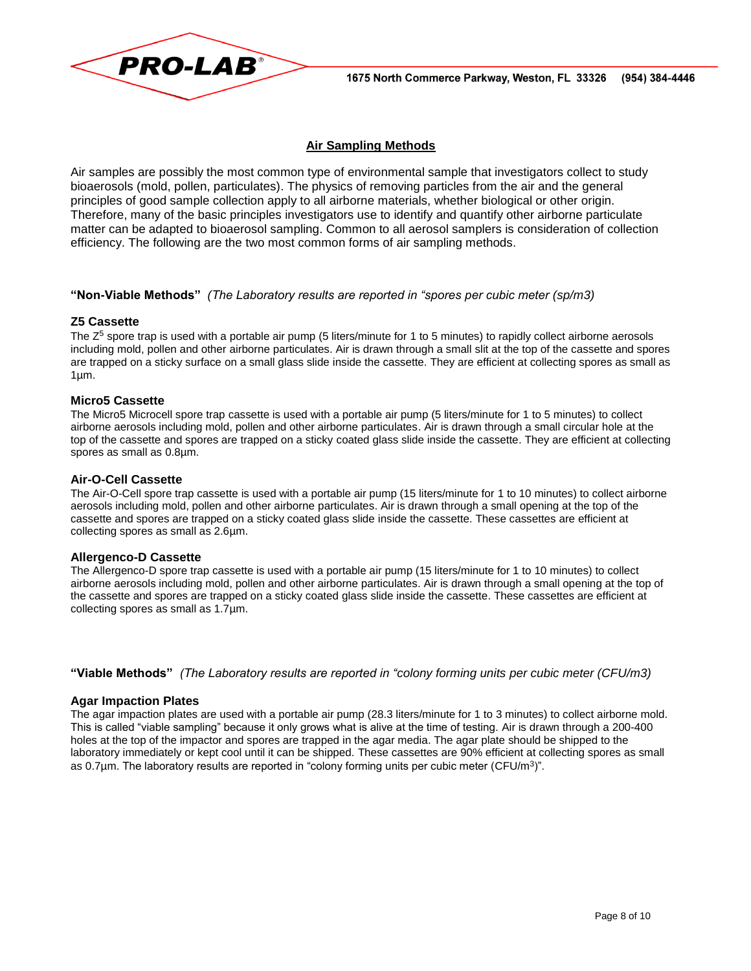

# **Air Sampling Methods**

Air samples are possibly the most common type of environmental sample that investigators collect to study bioaerosols (mold, pollen, particulates). The physics of removing particles from the air and the general principles of good sample collection apply to all airborne materials, whether biological or other origin. Therefore, many of the basic principles investigators use to identify and quantify other airborne particulate matter can be adapted to bioaerosol sampling. Common to all aerosol samplers is consideration of collection efficiency. The following are the two most common forms of air sampling methods.

#### **"Non-Viable Methods"** *(The Laboratory results are reported in "spores per cubic meter (sp/m3)*

#### **Z5 Cassette**

The Z<sup>5</sup> spore trap is used with a portable air pump (5 liters/minute for 1 to 5 minutes) to rapidly collect airborne aerosols including mold, pollen and other airborne particulates. Air is drawn through a small slit at the top of the cassette and spores are trapped on a sticky surface on a small glass slide inside the cassette. They are efficient at collecting spores as small as 1µm.

#### **Micro5 Cassette**

The Micro5 Microcell spore trap cassette is used with a portable air pump (5 liters/minute for 1 to 5 minutes) to collect airborne aerosols including mold, pollen and other airborne particulates. Air is drawn through a small circular hole at the top of the cassette and spores are trapped on a sticky coated glass slide inside the cassette. They are efficient at collecting spores as small as 0.8µm.

#### **Air-O-Cell Cassette**

The Air-O-Cell spore trap cassette is used with a portable air pump (15 liters/minute for 1 to 10 minutes) to collect airborne aerosols including mold, pollen and other airborne particulates. Air is drawn through a small opening at the top of the cassette and spores are trapped on a sticky coated glass slide inside the cassette. These cassettes are efficient at collecting spores as small as 2.6µm.

#### **Allergenco-D Cassette**

The Allergenco-D spore trap cassette is used with a portable air pump (15 liters/minute for 1 to 10 minutes) to collect airborne aerosols including mold, pollen and other airborne particulates. Air is drawn through a small opening at the top of the cassette and spores are trapped on a sticky coated glass slide inside the cassette. These cassettes are efficient at collecting spores as small as 1.7µm.

**"Viable Methods"** *(The Laboratory results are reported in "colony forming units per cubic meter (CFU/m3)*

#### **Agar Impaction Plates**

The agar impaction plates are used with a portable air pump (28.3 liters/minute for 1 to 3 minutes) to collect airborne mold. This is called "viable sampling" because it only grows what is alive at the time of testing. Air is drawn through a 200-400 holes at the top of the impactor and spores are trapped in the agar media. The agar plate should be shipped to the laboratory immediately or kept cool until it can be shipped. These cassettes are 90% efficient at collecting spores as small as 0.7 $\mu$ m. The laboratory results are reported in "colony forming units per cubic meter (CFU/m<sup>3</sup>)".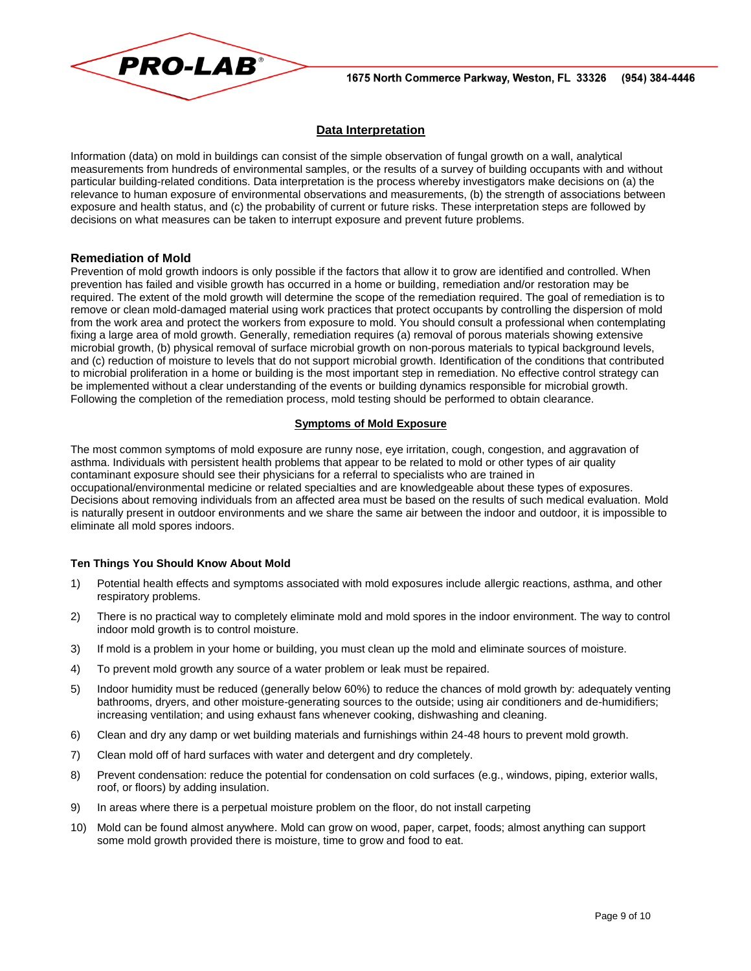

### **Data Interpretation**

Information (data) on mold in buildings can consist of the simple observation of fungal growth on a wall, analytical measurements from hundreds of environmental samples, or the results of a survey of building occupants with and without particular building-related conditions. Data interpretation is the process whereby investigators make decisions on (a) the relevance to human exposure of environmental observations and measurements, (b) the strength of associations between exposure and health status, and (c) the probability of current or future risks. These interpretation steps are followed by decisions on what measures can be taken to interrupt exposure and prevent future problems.

#### **Remediation of Mold**

Prevention of mold growth indoors is only possible if the factors that allow it to grow are identified and controlled. When prevention has failed and visible growth has occurred in a home or building, remediation and/or restoration may be required. The extent of the mold growth will determine the scope of the remediation required. The goal of remediation is to remove or clean mold-damaged material using work practices that protect occupants by controlling the dispersion of mold from the work area and protect the workers from exposure to mold. You should consult a professional when contemplating fixing a large area of mold growth. Generally, remediation requires (a) removal of porous materials showing extensive microbial growth, (b) physical removal of surface microbial growth on non-porous materials to typical background levels, and (c) reduction of moisture to levels that do not support microbial growth. Identification of the conditions that contributed to microbial proliferation in a home or building is the most important step in remediation. No effective control strategy can be implemented without a clear understanding of the events or building dynamics responsible for microbial growth. Following the completion of the remediation process, mold testing should be performed to obtain clearance.

#### **Symptoms of Mold Exposure**

The most common symptoms of mold exposure are runny nose, eye irritation, cough, congestion, and aggravation of asthma. Individuals with persistent health problems that appear to be related to mold or other types of air quality contaminant exposure should see their physicians for a referral to specialists who are trained in occupational/environmental medicine or related specialties and are knowledgeable about these types of exposures. Decisions about removing individuals from an affected area must be based on the results of such medical evaluation. Mold is naturally present in outdoor environments and we share the same air between the indoor and outdoor, it is impossible to eliminate all mold spores indoors.

#### **Ten Things You Should Know About Mold**

- 1) Potential health effects and symptoms associated with mold exposures include allergic reactions, asthma, and other respiratory problems.
- 2) There is no practical way to completely eliminate mold and mold spores in the indoor environment. The way to control indoor mold growth is to control moisture.
- 3) If mold is a problem in your home or building, you must clean up the mold and eliminate sources of moisture.
- 4) To prevent mold growth any source of a water problem or leak must be repaired.
- 5) Indoor humidity must be reduced (generally below 60%) to reduce the chances of mold growth by: adequately venting bathrooms, dryers, and other moisture-generating sources to the outside; using air conditioners and de-humidifiers; increasing ventilation; and using exhaust fans whenever cooking, dishwashing and cleaning.
- 6) Clean and dry any damp or wet building materials and furnishings within 24-48 hours to prevent mold growth.
- 7) Clean mold off of hard surfaces with water and detergent and dry completely.
- 8) Prevent condensation: reduce the potential for condensation on cold surfaces (e.g., windows, piping, exterior walls, roof, or floors) by adding insulation.
- 9) In areas where there is a perpetual moisture problem on the floor, do not install carpeting
- 10) Mold can be found almost anywhere. Mold can grow on wood, paper, carpet, foods; almost anything can support some mold growth provided there is moisture, time to grow and food to eat.